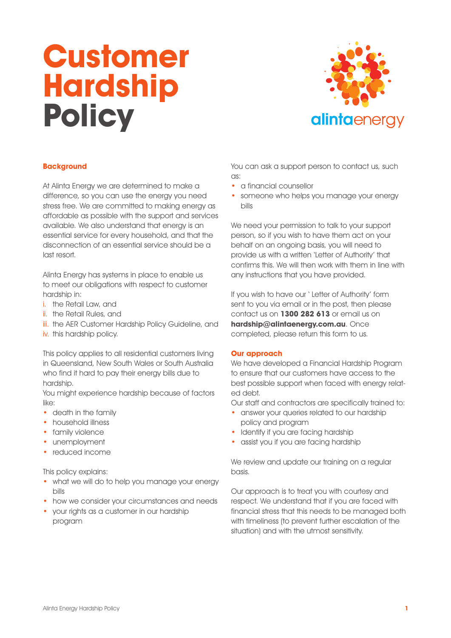# **Customer Hardship Policy**



# **Background**

At Alinta Energy we are determined to make a difference, so you can use the energy you need stress free. We are committed to making energy as affordable as possible with the support and services available. We also understand that energy is an essential service for every household, and that the disconnection of an essential service should be a last resort.

Alinta Energy has systems in place to enable us to meet our obligations with respect to customer hardship in:

- i. the Retail Law, and
- ii. the Retail Rules, and
- iii. the AER Customer Hardship Policy Guideline, and
- iv. this hardship policy.

This policy applies to all residential customers living in Queensland, New South Wales or South Australia who find it hard to pay their energy bills due to hardship.

You might experience hardship because of factors like:

- death in the family
- household illness
- family violence
- unemployment
- reduced income

This policy explains:

- what we will do to help you manage your energy bills
- how we consider your circumstances and needs
- your rights as a customer in our hardship program

You can ask a support person to contact us, such as:

- a financial counsellor
- someone who helps you manage your energy bills

We need your permission to talk to your support person, so if you wish to have them act on your behalf on an ongoing basis, you will need to provide us with a written 'Letter of Authority' that confirms this. We will then work with them in line with any instructions that you have provided.

If you wish to have our ' Letter of Authority' form sent to you via email or in the post, then please contact us on **1300 282 613** or email us on **hardship@alintaenergy.com.au**. Once completed, please return this form to us.

## **Our approach**

We have developed a Financial Hardship Program to ensure that our customers have access to the best possible support when faced with energy related debt.

Our staff and contractors are specifically trained to:

- answer your queries related to our hardship policy and program
- Identify if you are facing hardship
- assist you if you are facing hardship

We review and update our training on a regular basis.

Our approach is to treat you with courtesy and respect. We understand that if you are faced with financial stress that this needs to be managed both with timeliness (to prevent further escalation of the situation) and with the utmost sensitivity.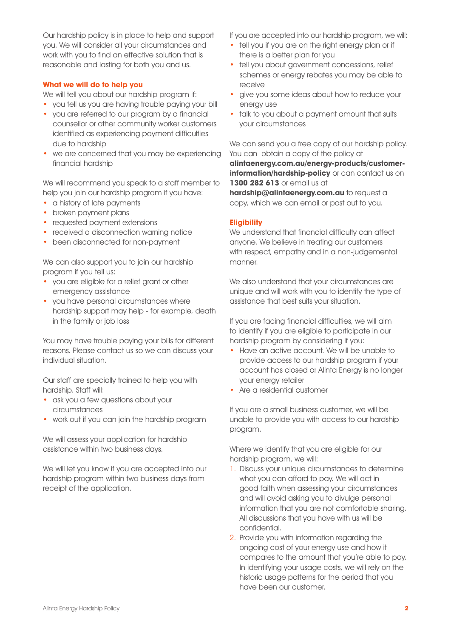Our hardship policy is in place to help and support you. We will consider all your circumstances and work with you to find an effective solution that is reasonable and lasting for both you and us.

## **What we will do to help you**

We will tell you about our hardship program if:

- you tell us you are having trouble paying your bill
- you are referred to our program by a financial counsellor or other community worker customers identified as experiencing payment difficulties due to hardship
- we are concerned that you may be experiencing financial hardship

We will recommend you speak to a staff member to help you join our hardship program if you have:

- a history of late payments
- broken payment plans
- requested payment extensions
- received a disconnection warning notice
- been disconnected for non-payment

We can also support you to join our hardship program if you tell us:

- you are eligible for a relief grant or other emergency assistance
- you have personal circumstances where hardship support may help - for example, death in the family or job loss

You may have trouble paying your bills for different reasons. Please contact us so we can discuss your individual situation.

Our staff are specially trained to help you with hardship. Staff will:

- ask you a few questions about your circumstances
- work out if you can join the hardship program

We will assess your application for hardship assistance within two business days.

We will let you know if you are accepted into our hardship program within two business days from receipt of the application.

If you are accepted into our hardship program, we will:

- tell you if you are on the right energy plan or if there is a better plan for you
- tell you about government concessions, relief schemes or energy rebates you may be able to receive
- give you some ideas about how to reduce your energy use
- talk to you about a payment amount that suits your circumstances

We can send you a free copy of our hardship policy. You can obtain a copy of the policy at **alintaenergy.com.au/energy-products/customerinformation/hardship-policy** or can contact us on **1300 282 613** or email us at

**hardship@alintaenerav.com.au** to request a copy, which we can email or post out to you.

## **Eligibility**

We understand that financial difficulty can affect anyone. We believe in treating our customers with respect, empathy and in a non-judgemental manner.

We also understand that your circumstances are unique and will work with you to identify the type of assistance that best suits your situation.

If you are facing financial difficulties, we will aim to identify if you are eligible to participate in our hardship program by considering if you:

- Have an active account. We will be unable to provide access to our hardship program if your account has closed or Alinta Energy is no longer your energy retailer
- Are a residential customer

If you are a small business customer, we will be unable to provide you with access to our hardship program.

Where we identify that you are eligible for our hardship program, we will:

- 1. Discuss your unique circumstances to determine what you can afford to pay. We will act in good faith when assessing your circumstances and will avoid asking you to divulge personal information that you are not comfortable sharing. All discussions that you have with us will be confidential.
- 2. Provide you with information regarding the ongoing cost of your energy use and how it compares to the amount that you're able to pay. In identifying your usage costs, we will rely on the historic usage patterns for the period that you have been our customer.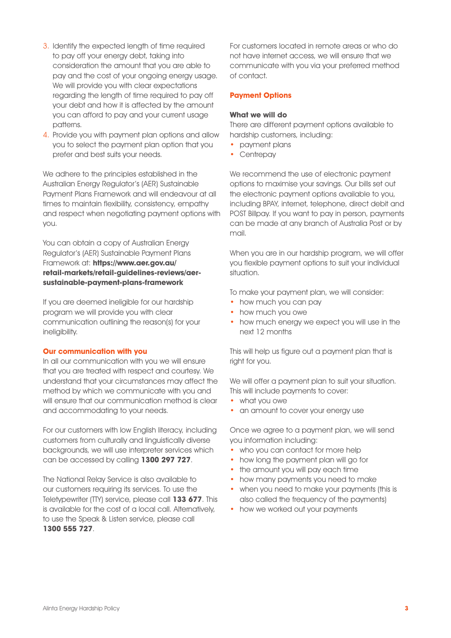- 3. Identify the expected length of time required to pay off your energy debt, taking into consideration the amount that you are able to pay and the cost of your ongoing energy usage. We will provide you with clear expectations regarding the length of time required to pay off your debt and how it is affected by the amount you can afford to pay and your current usage patterns.
- 4. Provide you with payment plan options and allow you to select the payment plan option that you prefer and best suits your needs.

We adhere to the principles established in the Australian Energy Regulator's (AER) Sustainable Payment Plans Framework and will endeavour at all times to maintain flexibility, consistency, empathy and respect when negotiating payment options with you.

You can obtain a copy of Australian Energy Regulator's (AER) Sustainable Payment Plans Framework at: **https://www.aer.gov.au/ retail-markets/retail-guidelines-reviews/aersustainable-payment-plans-framework**

If you are deemed ineligible for our hardship program we will provide you with clear communication outlining the reason(s) for your ineligibility.

## **Our communication with you**

In all our communication with you we will ensure that you are treated with respect and courtesy. We understand that your circumstances may affect the method by which we communicate with you and will ensure that our communication method is clear and accommodating to your needs.

For our customers with low English literacy, including customers from culturally and linguistically diverse backgrounds, we will use interpreter services which can be accessed by calling **1300 297 727**.

The National Relay Service is also available to our customers requiring its services. To use the Teletypewriter (TTY) service, please call **133 677**. This is available for the cost of a local call. Alternatively, to use the Speak & Listen service, please call **1300 555 727**.

For customers located in remote areas or who do not have internet access, we will ensure that we communicate with you via your preferred method of contact.

# **Payment Options**

## **What we will do**

There are different payment options available to hardship customers, including:

- payment plans
- Centrepay

We recommend the use of electronic payment options to maximise your savings. Our bills set out the electronic payment options available to you, including BPAY, internet, telephone, direct debit and POST Billpay. If you want to pay in person, payments can be made at any branch of Australia Post or by mail.

When you are in our hardship program, we will offer you flexible payment options to suit your individual situation.

To make your payment plan, we will consider:

- how much you can pay
- how much you owe
- how much energy we expect you will use in the next 12 months

This will help us figure out a payment plan that is right for you.

We will offer a payment plan to suit your situation. This will include payments to cover:

- what you owe
- an amount to cover your energy use

Once we agree to a payment plan, we will send you information including:

- who you can contact for more help
- how long the payment plan will go for
- the amount you will pay each time
- how many payments you need to make
- when you need to make your payments (this is also called the frequency of the payments)
- how we worked out your payments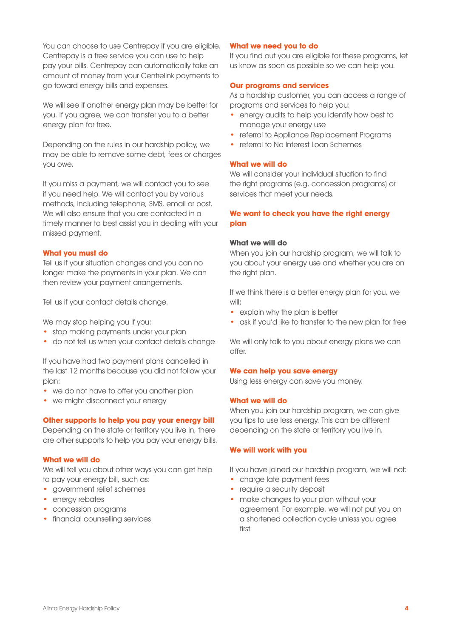You can choose to use Centrepay if you are eligible. Centrepay is a free service you can use to help pay your bills. Centrepay can automatically take an amount of money from your Centrelink payments to go toward energy bills and expenses.

We will see if another energy plan may be better for you. If you agree, we can transfer you to a better energy plan for free.

Depending on the rules in our hardship policy, we may be able to remove some debt, fees or charges you owe.

If you miss a payment, we will contact you to see if you need help. We will contact you by various methods, including telephone, SMS, email or post. We will also ensure that you are contacted in a timely manner to best assist you in dealing with your missed payment.

#### **What you must do**

Tell us if your situation changes and you can no longer make the payments in your plan. We can then review your payment arrangements.

Tell us if your contact details change.

We may stop helping you if you:

- stop making payments under your plan
- do not tell us when your contact details change

If you have had two payment plans cancelled in the last 12 months because you did not follow your plan:

- we do not have to offer you another plan
- we might disconnect your energy

## **Other supports to help you pay your energy bill**

Depending on the state or territory you live in, there are other supports to help you pay your energy bills.

## **What we will do**

We will tell you about other ways you can get help to pay your energy bill, such as:

- government relief schemes
- energy rebates
- concession programs
- financial counselling services

#### **What we need you to do**

If you find out you are eligible for these programs, let us know as soon as possible so we can help you.

#### **Our programs and services**

As a hardship customer, you can access a range of programs and services to help you:

- energy audits to help you identify how best to manage your energy use
- referral to Appliance Replacement Programs
- referral to No Interest Loan Schemes

## **What we will do**

We will consider your individual situation to find the right programs (e.g. concession programs) or services that meet your needs.

# **We want to check you have the right energy plan**

#### **What we will do**

When you join our hardship program, we will talk to you about your energy use and whether you are on the right plan.

If we think there is a better energy plan for you, we will:

- explain why the plan is better
- ask if you'd like to transfer to the new plan for free

We will only talk to you about energy plans we can offer.

#### **We can help you save energy**

Using less energy can save you money.

#### **What we will do**

When you join our hardship program, we can give you tips to use less energy. This can be different depending on the state or territory you live in.

## **We will work with you**

If you have joined our hardship program, we will not:

- charge late payment fees
- require a security deposit
- make changes to your plan without your agreement. For example, we will not put you on a shortened collection cycle unless you agree first